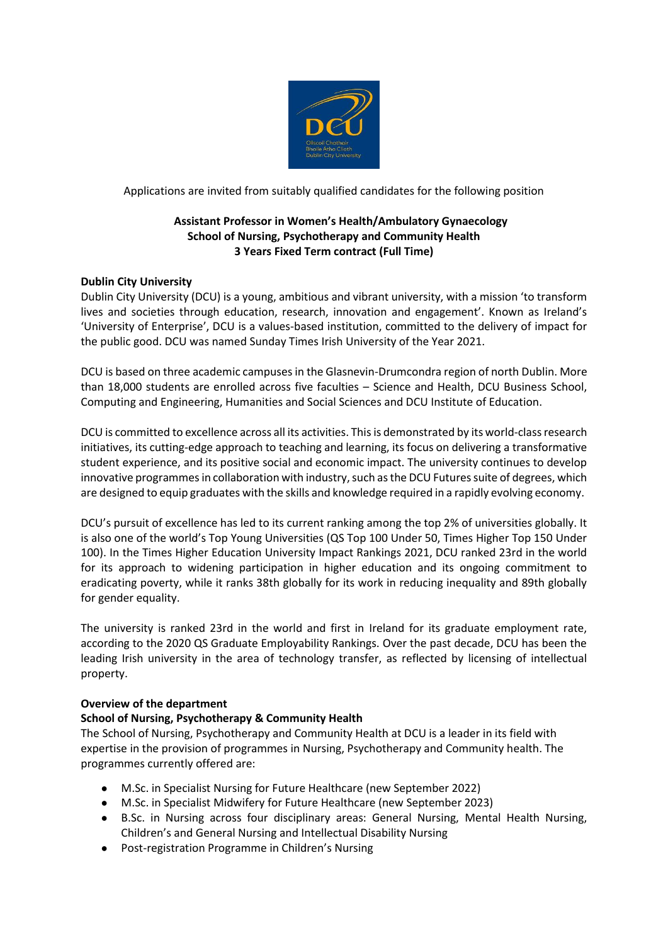

Applications are invited from suitably qualified candidates for the following position

# **Assistant Professor in Women's Health/Ambulatory Gynaecology School of Nursing, Psychotherapy and Community Health 3 Years Fixed Term contract (Full Time)**

# **Dublin City University**

Dublin City University (DCU) is a young, ambitious and vibrant university, with a mission 'to transform lives and societies through education, research, innovation and engagement'. Known as Ireland's 'University of Enterprise', DCU is a values-based institution, committed to the delivery of impact for the public good. DCU was named Sunday Times Irish University of the Year 2021.

DCU is based on three academic campuses in the Glasnevin-Drumcondra region of north Dublin. More than 18,000 students are enrolled across five faculties – Science and Health, DCU Business School, Computing and Engineering, Humanities and Social Sciences and DCU Institute of Education.

DCU is committed to excellence across all its activities. This is demonstrated by its world-class research initiatives, its cutting-edge approach to teaching and learning, its focus on delivering a transformative student experience, and its positive social and economic impact. The university continues to develop innovative programmes in collaboration with industry, such as the DCU Futures suite of degrees, which are designed to equip graduates with the skills and knowledge required in a rapidly evolving economy.

DCU's pursuit of excellence has led to its current ranking among the top 2% of universities globally. It is also one of the world's Top Young Universities (QS Top 100 Under 50, Times Higher Top 150 Under 100). In the Times Higher Education University Impact Rankings 2021, DCU ranked 23rd in the world for its approach to widening participation in higher education and its ongoing commitment to eradicating poverty, while it ranks 38th globally for its work in reducing inequality and 89th globally for gender equality.

The university is ranked 23rd in the world and first in Ireland for its graduate employment rate, according to the 2020 QS Graduate Employability Rankings. Over the past decade, DCU has been the leading Irish university in the area of technology transfer, as reflected by licensing of intellectual property.

## **Overview of the department**

# **School of Nursing, Psychotherapy & Community Health**

The School of Nursing, Psychotherapy and Community Health at DCU is a leader in its field with expertise in the provision of programmes in Nursing, Psychotherapy and Community health. The programmes currently offered are:

- M.Sc. in Specialist Nursing for Future Healthcare (new September 2022)
- M.Sc. in Specialist Midwifery for Future Healthcare (new September 2023)
- B.Sc. in Nursing across four disciplinary areas: General Nursing, Mental Health Nursing, Children's and General Nursing and Intellectual Disability Nursing
- Post-registration Programme in Children's Nursing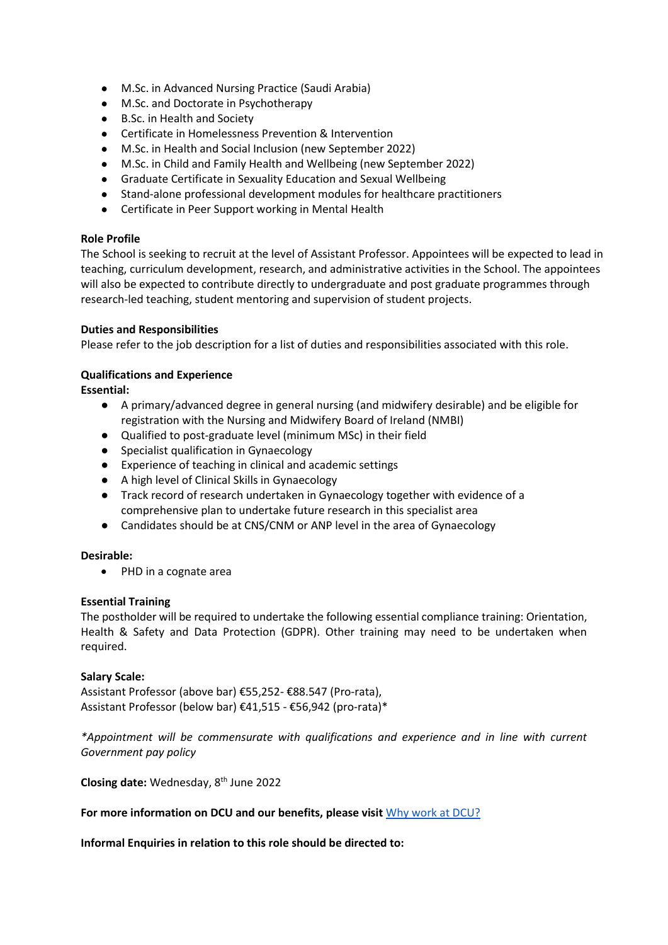- M.Sc. in Advanced Nursing Practice (Saudi Arabia)
- M.Sc. and Doctorate in Psychotherapy
- B.Sc. in Health and Society
- Certificate in Homelessness Prevention & Intervention
- M.Sc. in Health and Social Inclusion (new September 2022)
- M.Sc. in Child and Family Health and Wellbeing (new September 2022)
- Graduate Certificate in Sexuality Education and Sexual Wellbeing
- Stand-alone professional development modules for healthcare practitioners
- Certificate in Peer Support working in Mental Health

### **Role Profile**

The School is seeking to recruit at the level of Assistant Professor. Appointees will be expected to lead in teaching, curriculum development, research, and administrative activities in the School. The appointees will also be expected to contribute directly to undergraduate and post graduate programmes through research-led teaching, student mentoring and supervision of student projects.

### **Duties and Responsibilities**

Please refer to the job description for a list of duties and responsibilities associated with this role.

## **Qualifications and Experience**

**Essential:**

- A primary/advanced degree in general nursing (and midwifery desirable) and be eligible for registration with the Nursing and Midwifery Board of Ireland (NMBI)
- Qualified to post-graduate level (minimum MSc) in their field
- Specialist qualification in Gynaecology
- Experience of teaching in clinical and academic settings
- A high level of Clinical Skills in Gynaecology
- Track record of research undertaken in Gynaecology together with evidence of a comprehensive plan to undertake future research in this specialist area
- Candidates should be at CNS/CNM or ANP level in the area of Gynaecology

## **Desirable:**

• PHD in a cognate area

## **Essential Training**

The postholder will be required to undertake the following essential compliance training: Orientation, Health & Safety and Data Protection (GDPR). Other training may need to be undertaken when required.

## **Salary Scale:**

Assistant Professor (above bar) €55,252- €88.547 (Pro-rata), Assistant Professor (below bar) €41,515 - €56,942 (pro-rata)\*

*\*Appointment will be commensurate with qualifications and experience and in line with current Government pay policy*

**Closing date:** Wednesday, 8 th June 2022

**For more information on DCU and our benefits, please visit** [Why work at DCU?](https://www.dcu.ie/hr/why-work-dcu)

**Informal Enquiries in relation to this role should be directed to:**